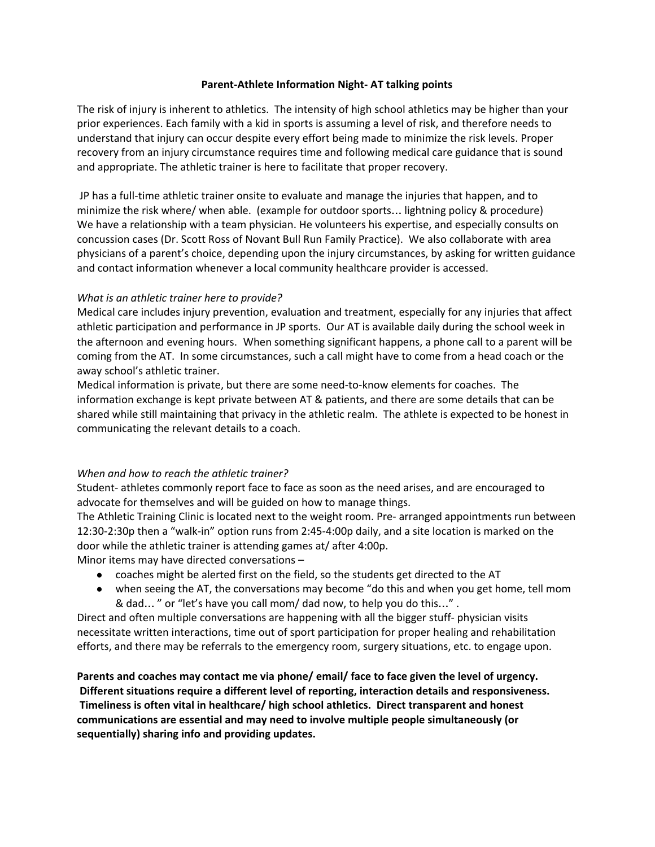## **Parent-Athlete Information Night- AT talking points**

The risk of injury is inherent to athletics. The intensity of high school athletics may be higher than your prior experiences. Each family with a kid in sports is assuming a level of risk, and therefore needs to understand that injury can occur despite every effort being made to minimize the risk levels. Proper recovery from an injury circumstance requires time and following medical care guidance that is sound and appropriate. The athletic trainer is here to facilitate that proper recovery.

JP has a full-time athletic trainer onsite to evaluate and manage the injuries that happen, and to minimize the risk where/ when able. (example for outdoor sports… lightning policy & procedure) We have a relationship with a team physician. He volunteers his expertise, and especially consults on concussion cases (Dr. Scott Ross of Novant Bull Run Family Practice). We also collaborate with area physicians of a parent's choice, depending upon the injury circumstances, by asking for written guidance and contact information whenever a local community healthcare provider is accessed.

## *What is an athletic trainer here to provide?*

Medical care includes injury prevention, evaluation and treatment, especially for any injuries that affect athletic participation and performance in JP sports. Our AT is available daily during the school week in the afternoon and evening hours. When something significant happens, a phone call to a parent will be coming from the AT. In some circumstances, such a call might have to come from a head coach or the away school's athletic trainer.

Medical information is private, but there are some need-to-know elements for coaches. The information exchange is kept private between AT & patients, and there are some details that can be shared while still maintaining that privacy in the athletic realm. The athlete is expected to be honest in communicating the relevant details to a coach.

## *When and how to reach the athletic trainer?*

Student- athletes commonly report face to face as soon as the need arises, and are encouraged to advocate for themselves and will be guided on how to manage things.

The Athletic Training Clinic is located next to the weight room. Pre- arranged appointments run between 12:30-2:30p then a "walk-in" option runs from 2:45-4:00p daily, and a site location is marked on the door while the athletic trainer is attending games at/ after 4:00p.

- Minor items may have directed conversations
	- coaches might be alerted first on the field, so the students get directed to the AT
	- when seeing the AT, the conversations may become "do this and when you get home, tell mom & dad… " or "let's have you call mom/ dad now, to help you do this…" .

Direct and often multiple conversations are happening with all the bigger stuff- physician visits necessitate written interactions, time out of sport participation for proper healing and rehabilitation efforts, and there may be referrals to the emergency room, surgery situations, etc. to engage upon.

**Parents and coaches may contact me via phone/ email/ face to face given the level of urgency. Different situations require a different level of reporting, interaction details and responsiveness. Timeliness is often vital in healthcare/ high school athletics. Direct transparent and honest communications are essential and may need to involve multiple people simultaneously (or sequentially) sharing info and providing updates.**